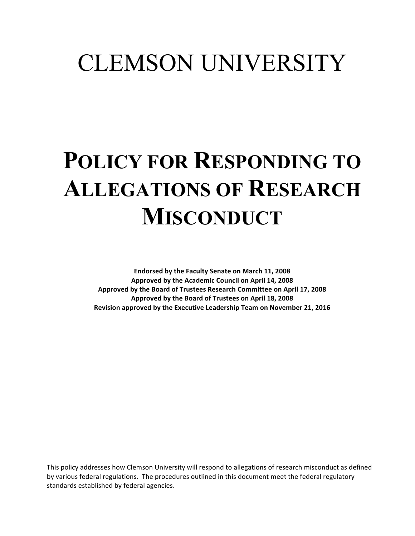# CLEMSON UNIVERSITY

# **POLICY FOR RESPONDING TO ALLEGATIONS OF RESEARCH MISCONDUCT**

**Endorsed by the Faculty Senate on March 11, 2008** Approved by the Academic Council on April 14, 2008 Approved by the Board of Trustees Research Committee on April 17, 2008 **Approved by the Board of Trustees on April 18, 2008** Revision approved by the Executive Leadership Team on November 21, 2016

This policy addresses how Clemson University will respond to allegations of research misconduct as defined by various federal regulations. The procedures outlined in this document meet the federal regulatory standards established by federal agencies.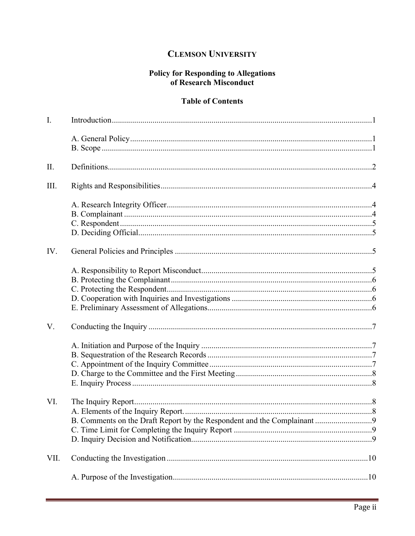# **CLEMSON UNIVERSITY**

# **Policy for Responding to Allegations<br>of Research Misconduct**

# **Table of Contents**

| $\mathbf{I}$ . |  |
|----------------|--|
|                |  |
| II.            |  |
| III.           |  |
|                |  |
|                |  |
|                |  |
|                |  |
| IV.            |  |
|                |  |
|                |  |
|                |  |
|                |  |
|                |  |
| V.             |  |
|                |  |
|                |  |
|                |  |
|                |  |
|                |  |
| VI.            |  |
|                |  |
|                |  |
|                |  |
|                |  |
| VII.           |  |
|                |  |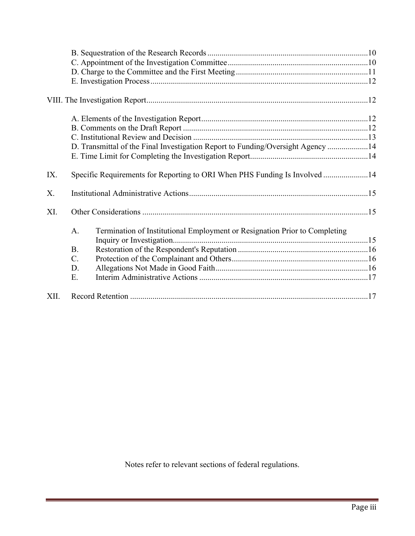|      | D. Transmittal of the Final Investigation Report to Funding/Oversight Agency 14  |  |
|------|----------------------------------------------------------------------------------|--|
|      |                                                                                  |  |
| IX.  | Specific Requirements for Reporting to ORI When PHS Funding Is Involved 14       |  |
| X.   |                                                                                  |  |
| XI.  |                                                                                  |  |
|      | Termination of Institutional Employment or Resignation Prior to Completing<br>A. |  |
|      |                                                                                  |  |
|      | <b>B.</b>                                                                        |  |
|      | $\mathcal{C}$ .                                                                  |  |
|      | D.                                                                               |  |
|      | Ε.                                                                               |  |
| XII. |                                                                                  |  |

Notes refer to relevant sections of federal regulations.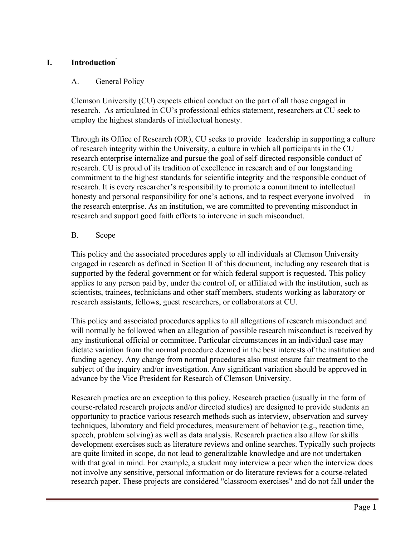# **I. Introduction**\*

#### A. General Policy

Clemson University (CU) expects ethical conduct on the part of all those engaged in research. As articulated in CU's professional ethics statement, researchers at CU seek to employ the highest standards of intellectual honesty.

Through its Office of Research (OR), CU seeks to provide leadership in supporting a culture of research integrity within the University, a culture in which all participants in the CU research enterprise internalize and pursue the goal of self-directed responsible conduct of research. CU is proud of its tradition of excellence in research and of our longstanding commitment to the highest standards for scientific integrity and the responsible conduct of research. It is every researcher's responsibility to promote a commitment to intellectual honesty and personal responsibility for one's actions, and to respect everyone involved in the research enterprise. As an institution, we are committed to preventing misconduct in research and support good faith efforts to intervene in such misconduct.

#### B. Scope

This policy and the associated procedures apply to all individuals at Clemson University engaged in research as defined in Section II of this document, including any research that is supported by the federal government or for which federal support is requested*.* This policy applies to any person paid by, under the control of, or affiliated with the institution, such as scientists, trainees, technicians and other staff members, students working as laboratory or research assistants, fellows, guest researchers, or collaborators at CU.

This policy and associated procedures applies to all allegations of research misconduct and will normally be followed when an allegation of possible research misconduct is received by any institutional official or committee. Particular circumstances in an individual case may dictate variation from the normal procedure deemed in the best interests of the institution and funding agency. Any change from normal procedures also must ensure fair treatment to the subject of the inquiry and/or investigation. Any significant variation should be approved in advance by the Vice President for Research of Clemson University.

Research practica are an exception to this policy. Research practica (usually in the form of course-related research projects and/or directed studies) are designed to provide students an opportunity to practice various research methods such as interview, observation and survey techniques, laboratory and field procedures, measurement of behavior (e.g., reaction time, speech, problem solving) as well as data analysis. Research practica also allow for skills development exercises such as literature reviews and online searches. Typically such projects are quite limited in scope, do not lead to generalizable knowledge and are not undertaken with that goal in mind. For example, a student may interview a peer when the interview does not involve any sensitive, personal information or do literature reviews for a course-related research paper. These projects are considered "classroom exercises" and do not fall under the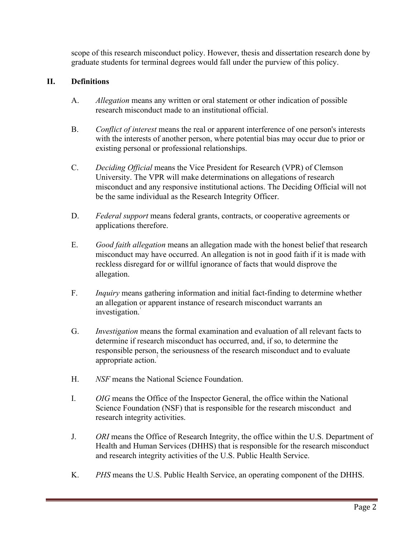scope of this research misconduct policy. However, thesis and dissertation research done by graduate students for terminal degrees would fall under the purview of this policy.

## **II. Definitions**

- A. *Allegation* means any written or oral statement or other indication of possible research misconduct made to an institutional official.
- B. *Conflict of interest* means the real or apparent interference of one person's interests with the interests of another person, where potential bias may occur due to prior or existing personal or professional relationships.
- C. *Deciding Official* means the Vice President for Research (VPR) of Clemson University. The VPR will make determinations on allegations of research misconduct and any responsive institutional actions. The Deciding Official will not be the same individual as the Research Integrity Officer.
- D. *Federal support* means federal grants, contracts, or cooperative agreements or applications therefore.
- E. *Good faith allegation* means an allegation made with the honest belief that research misconduct may have occurred. An allegation is not in good faith if it is made with reckless disregard for or willful ignorance of facts that would disprove the allegation.
- F. *Inquiry* means gathering information and initial fact-finding to determine whether an allegation or apparent instance of research misconduct warrants an investigation.<sup>1</sup>
- G. *Investigation* means the formal examination and evaluation of all relevant facts to determine if research misconduct has occurred, and, if so, to determine the responsible person, the seriousness of the research misconduct and to evaluate appropriate action.<sup>2</sup>
- H. *NSF* means the National Science Foundation.
- I. *OIG* means the Office of the Inspector General, the office within the National Science Foundation (NSF) that is responsible for the research misconduct and research integrity activities.
- J. *ORI* means the Office of Research Integrity, the office within the U.S. Department of Health and Human Services (DHHS) that is responsible for the research misconduct and research integrity activities of the U.S. Public Health Service.
- K. *PHS* means the U.S. Public Health Service, an operating component of the DHHS.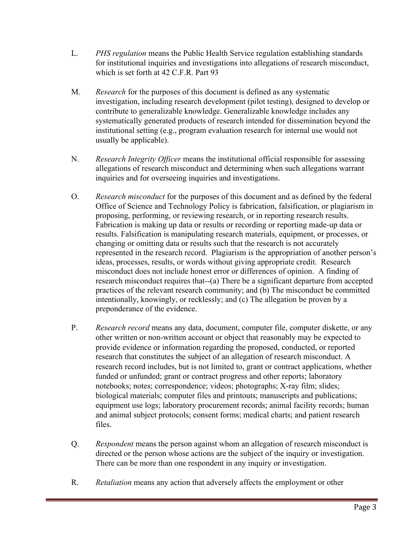- L. *PHS regulation* means the Public Health Service regulation establishing standards for institutional inquiries and investigations into allegations of research misconduct, which is set forth at 42 C.F.R. Part 93
- M. *Research* for the purposes of this document is defined as any systematic investigation, including research development (pilot testing), designed to develop or contribute to generalizable knowledge. Generalizable knowledge includes any systematically generated products of research intended for dissemination beyond the institutional setting (e.g., program evaluation research for internal use would not usually be applicable).
- N. *Research Integrity Officer* means the institutional official responsible for assessing allegations of research misconduct and determining when such allegations warrant inquiries and for overseeing inquiries and investigations.
- O. *Research misconduct* for the purposes of this document and as defined by the federal Office of Science and Technology Policy is fabrication, falsification, or plagiarism in proposing, performing, or reviewing research, or in reporting research results. Fabrication is making up data or results or recording or reporting made-up data or results. Falsification is manipulating research materials, equipment, or processes, or changing or omitting data or results such that the research is not accurately represented in the research record. Plagiarism is the appropriation of another person's ideas, processes, results, or words without giving appropriate credit. Research misconduct does not include honest error or differences of opinion. A finding of research misconduct requires that--(a) There be a significant departure from accepted practices of the relevant research community; and (b) The misconduct be committed intentionally, knowingly, or recklessly; and (c) The allegation be proven by a preponderance of the evidence.
- P. *Research record* means any data, document, computer file, computer diskette, or any other written or non-written account or object that reasonably may be expected to provide evidence or information regarding the proposed, conducted, or reported research that constitutes the subject of an allegation of research misconduct. A research record includes, but is not limited to, grant or contract applications, whether funded or unfunded; grant or contract progress and other reports; laboratory notebooks; notes; correspondence; videos; photographs; X-ray film; slides; biological materials; computer files and printouts; manuscripts and publications; equipment use logs; laboratory procurement records; animal facility records; human and animal subject protocols; consent forms; medical charts; and patient research files.
- Q. *Respondent* means the person against whom an allegation of research misconduct is directed or the person whose actions are the subject of the inquiry or investigation. There can be more than one respondent in any inquiry or investigation.
- R. *Retaliation* means any action that adversely affects the employment or other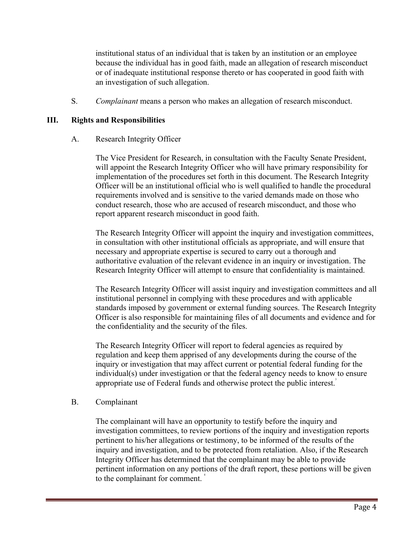institutional status of an individual that is taken by an institution or an employee because the individual has in good faith, made an allegation of research misconduct or of inadequate institutional response thereto or has cooperated in good faith with an investigation of such allegation.

S. *Complainant* means a person who makes an allegation of research misconduct.

## **III. Rights and Responsibilities**

#### A. Research Integrity Officer

The Vice President for Research, in consultation with the Faculty Senate President, will appoint the Research Integrity Officer who will have primary responsibility for implementation of the procedures set forth in this document. The Research Integrity Officer will be an institutional official who is well qualified to handle the procedural requirements involved and is sensitive to the varied demands made on those who conduct research, those who are accused of research misconduct, and those who report apparent research misconduct in good faith.

The Research Integrity Officer will appoint the inquiry and investigation committees, in consultation with other institutional officials as appropriate, and will ensure that necessary and appropriate expertise is secured to carry out a thorough and authoritative evaluation of the relevant evidence in an inquiry or investigation. The Research Integrity Officer will attempt to ensure that confidentiality is maintained.

The Research Integrity Officer will assist inquiry and investigation committees and all institutional personnel in complying with these procedures and with applicable standards imposed by government or external funding sources. The Research Integrity Officer is also responsible for maintaining files of all documents and evidence and for the confidentiality and the security of the files.

The Research Integrity Officer will report to federal agencies as required by regulation and keep them apprised of any developments during the course of the inquiry or investigation that may affect current or potential federal funding for the individual(s) under investigation or that the federal agency needs to know to ensure appropriate use of Federal funds and otherwise protect the public interest.

# B. Complainant

The complainant will have an opportunity to testify before the inquiry and investigation committees, to review portions of the inquiry and investigation reports pertinent to his/her allegations or testimony, to be informed of the results of the inquiry and investigation, and to be protected from retaliation. Also, if the Research Integrity Officer has determined that the complainant may be able to provide pertinent information on any portions of the draft report, these portions will be given to the complainant for comment.<sup>4</sup>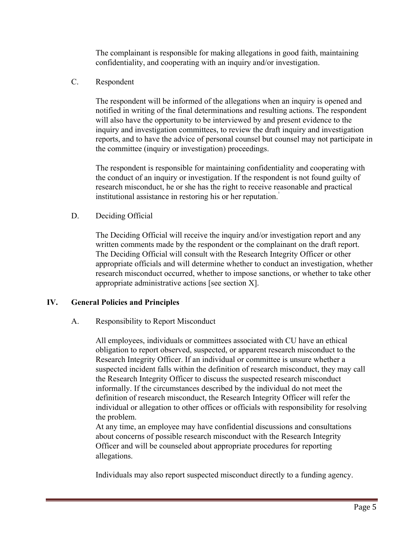The complainant is responsible for making allegations in good faith, maintaining confidentiality, and cooperating with an inquiry and/or investigation.

C. Respondent

The respondent will be informed of the allegations when an inquiry is opened and notified in writing of the final determinations and resulting actions. The respondent will also have the opportunity to be interviewed by and present evidence to the inquiry and investigation committees, to review the draft inquiry and investigation reports, and to have the advice of personal counsel but counsel may not participate in the committee (inquiry or investigation) proceedings.

The respondent is responsible for maintaining confidentiality and cooperating with the conduct of an inquiry or investigation. If the respondent is not found guilty of research misconduct, he or she has the right to receive reasonable and practical institutional assistance in restoring his or her reputation.

D. Deciding Official

The Deciding Official will receive the inquiry and/or investigation report and any written comments made by the respondent or the complainant on the draft report. The Deciding Official will consult with the Research Integrity Officer or other appropriate officials and will determine whether to conduct an investigation, whether research misconduct occurred, whether to impose sanctions, or whether to take other appropriate administrative actions [see section X].

# **IV. General Policies and Principles**

#### A. Responsibility to Report Misconduct

All employees, individuals or committees associated with CU have an ethical obligation to report observed, suspected, or apparent research misconduct to the Research Integrity Officer. If an individual or committee is unsure whether a suspected incident falls within the definition of research misconduct, they may call the Research Integrity Officer to discuss the suspected research misconduct informally. If the circumstances described by the individual do not meet the definition of research misconduct, the Research Integrity Officer will refer the individual or allegation to other offices or officials with responsibility for resolving the problem.

At any time, an employee may have confidential discussions and consultations about concerns of possible research misconduct with the Research Integrity Officer and will be counseled about appropriate procedures for reporting allegations.

Individuals may also report suspected misconduct directly to a funding agency.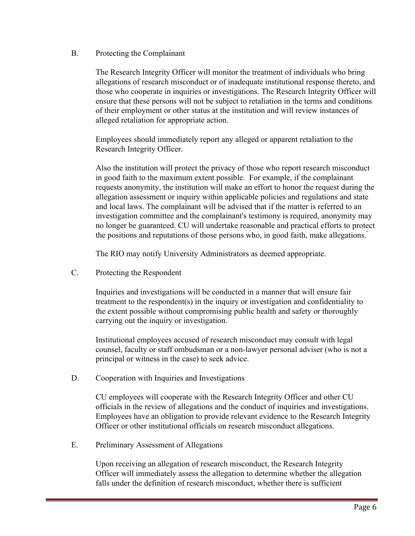B. Protecting the Complainant

The Research Integrity Officer will monitor the treatment of individuals who bring allegations of research misconduct or of inadequate institutional response thereto, and those who cooperate in inquiries or investigations. The Research Integrity Officer will ensure that these persons will not be subject to retaliation in the terms and conditions of their employment or other status at the institution and will review instances of alleged retaliation for appropriate action.

Employees should immediately report any alleged or apparent retaliation to the Research Integrity Officer.

Also the institution will protect the privacy of those who report research misconduct in good faith to the maximum extent possible. For example, if the complainant requests anonymity, the institution will make an effort to honor the request during the allegation assessment or inquiry within applicable policies and regulations and state and local laws. The complainant will be advised that if the matter is referred to an investigation committee and the complainant's testimony is required, anonymity may no longer be guaranteed. CU will undertake reasonable and practical efforts to protect the positions and reputations of those persons who, in good faith, make allegations. $\hat{\ }$ 

The RIO may notify University Administrators as deemed appropriate.

C. Protecting the Respondent

Inquiries and investigations will be conducted in a manner that will ensure fair treatment to the respondent(s) in the inquiry or investigation and confidentiality to the extent possible without compromising public health and safety or thoroughly carrying out the inquiry or investigation.<sup>7</sup>

Institutional employees accused of research misconduct may consult with legal counsel, faculty or staff ombudsman or a non-lawyer personal adviser (who is not a principal or witness in the case) to seek advice.

D. Cooperation with Inquiries and Investigations

CU employees will cooperate with the Research Integrity Officer and other CU officials in the review of allegations and the conduct of inquiries and investigations. Employees have an obligation to provide relevant evidence to the Research Integrity Officer or other institutional officials on research misconduct allegations.

E. Preliminary Assessment of Allegations

Upon receiving an allegation of research misconduct, the Research Integrity Officer will immediately assess the allegation to determine whether the allegation falls under the definition of research misconduct, whether there is sufficient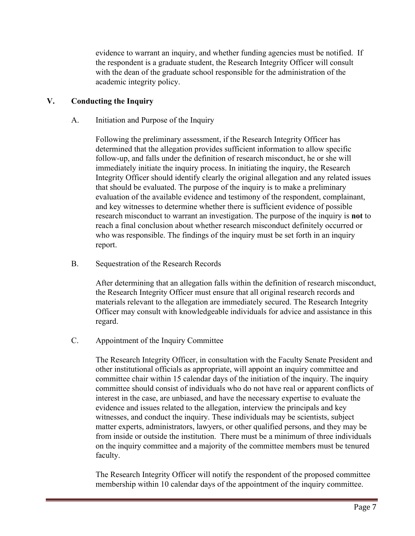evidence to warrant an inquiry, and whether funding agencies must be notified. If the respondent is a graduate student, the Research Integrity Officer will consult with the dean of the graduate school responsible for the administration of the academic integrity policy.

# **V. Conducting the Inquiry**

A. Initiation and Purpose of the Inquiry

Following the preliminary assessment, if the Research Integrity Officer has determined that the allegation provides sufficient information to allow specific follow-up, and falls under the definition of research misconduct, he or she will immediately initiate the inquiry process. In initiating the inquiry, the Research Integrity Officer should identify clearly the original allegation and any related issues that should be evaluated. The purpose of the inquiry is to make a preliminary evaluation of the available evidence and testimony of the respondent, complainant, and key witnesses to determine whether there is sufficient evidence of possible research misconduct to warrant an investigation. The purpose of the inquiry is **not** to reach a final conclusion about whether research misconduct definitely occurred or who was responsible. The findings of the inquiry must be set forth in an inquiry report.

B. Sequestration of the Research Records

After determining that an allegation falls within the definition of research misconduct, the Research Integrity Officer must ensure that all original research records and materials relevant to the allegation are immediately secured. The Research Integrity Officer may consult with knowledgeable individuals for advice and assistance in this regard.

C. Appointment of the Inquiry Committee

The Research Integrity Officer, in consultation with the Faculty Senate President and other institutional officials as appropriate, will appoint an inquiry committee and committee chair within 15 calendar days of the initiation of the inquiry. The inquiry committee should consist of individuals who do not have real or apparent conflicts of interest in the case, are unbiased, and have the necessary expertise to evaluate the evidence and issues related to the allegation, interview the principals and key witnesses, and conduct the inquiry. These individuals may be scientists, subject matter experts, administrators, lawyers, or other qualified persons, and they may be from inside or outside the institution. There must be a minimum of three individuals on the inquiry committee and a majority of the committee members must be tenured faculty.

The Research Integrity Officer will notify the respondent of the proposed committee membership within 10 calendar days of the appointment of the inquiry committee.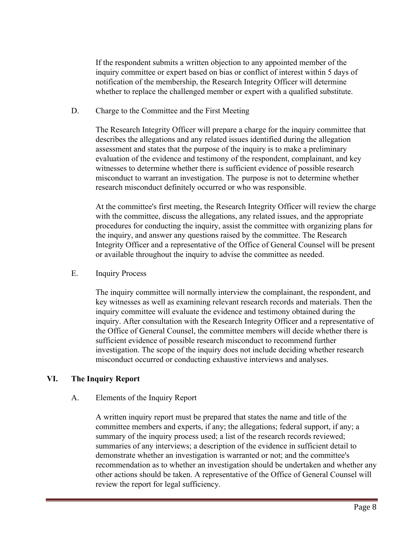If the respondent submits a written objection to any appointed member of the inquiry committee or expert based on bias or conflict of interest within 5 days of notification of the membership, the Research Integrity Officer will determine whether to replace the challenged member or expert with a qualified substitute.

#### D. Charge to the Committee and the First Meeting

The Research Integrity Officer will prepare a charge for the inquiry committee that describes the allegations and any related issues identified during the allegation assessment and states that the purpose of the inquiry is to make a preliminary evaluation of the evidence and testimony of the respondent, complainant, and key witnesses to determine whether there is sufficient evidence of possible research misconduct to warrant an investigation. The purpose is not to determine whether research misconduct definitely occurred or who was responsible.

At the committee's first meeting, the Research Integrity Officer will review the charge with the committee, discuss the allegations, any related issues, and the appropriate procedures for conducting the inquiry, assist the committee with organizing plans for the inquiry, and answer any questions raised by the committee. The Research Integrity Officer and a representative of the Office of General Counsel will be present or available throughout the inquiry to advise the committee as needed.

E. Inquiry Process

The inquiry committee will normally interview the complainant, the respondent, and key witnesses as well as examining relevant research records and materials. Then the inquiry committee will evaluate the evidence and testimony obtained during the inquiry. After consultation with the Research Integrity Officer and a representative of the Office of General Counsel, the committee members will decide whether there is sufficient evidence of possible research misconduct to recommend further investigation. The scope of the inquiry does not include deciding whether research misconduct occurred or conducting exhaustive interviews and analyses.

#### **VI. The Inquiry Report**

#### A. Elements of the Inquiry Report

A written inquiry report must be prepared that states the name and title of the committee members and experts, if any; the allegations; federal support, if any; a summary of the inquiry process used; a list of the research records reviewed; summaries of any interviews; a description of the evidence in sufficient detail to demonstrate whether an investigation is warranted or not; and the committee's recommendation as to whether an investigation should be undertaken and whether any other actions should be taken. A representative of the Office of General Counsel will review the report for legal sufficiency.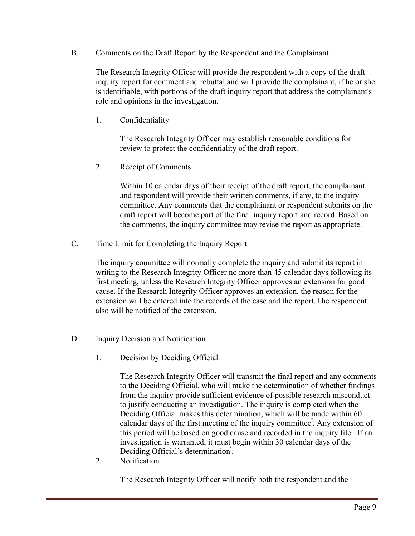B. Comments on the Draft Report by the Respondent and the Complainant

The Research Integrity Officer will provide the respondent with a copy of the draft inquiry report for comment and rebuttal and will provide the complainant, if he or she is identifiable, with portions of the draft inquiry report that address the complainant's role and opinions in the investigation.

1. Confidentiality

The Research Integrity Officer may establish reasonable conditions for review to protect the confidentiality of the draft report.

2. Receipt of Comments

Within 10 calendar days of their receipt of the draft report, the complainant and respondent will provide their written comments, if any, to the inquiry committee. Any comments that the complainant or respondent submits on the draft report will become part of the final inquiry report and record. Based on the comments, the inquiry committee may revise the report as appropriate.

C. Time Limit for Completing the Inquiry Report

The inquiry committee will normally complete the inquiry and submit its report in writing to the Research Integrity Officer no more than 45 calendar days following its first meeting, unless the Research Integrity Officer approves an extension for good cause. If the Research Integrity Officer approves an extension, the reason for the extension will be entered into the records of the case and the report.The respondent also will be notified of the extension.

- D. Inquiry Decision and Notification
	- 1. Decision by Deciding Official

The Research Integrity Officer will transmit the final report and any comments to the Deciding Official, who will make the determination of whether findings from the inquiry provide sufficient evidence of possible research misconduct to justify conducting an investigation. The inquiry is completed when the Deciding Official makes this determination, which will be made within 60 calendar days of the first meeting of the inquiry committee. Any extension of this period will be based on good cause and recorded in the inquiry file. If an investigation is warranted, it must begin within 30 calendar days of the Deciding Official's determination<sup>2</sup>.

2. Notification

The Research Integrity Officer will notify both the respondent and the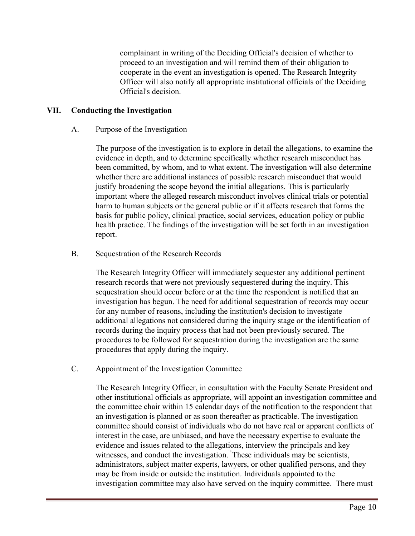complainant in writing of the Deciding Official's decision of whether to proceed to an investigation and will remind them of their obligation to cooperate in the event an investigation is opened. The Research Integrity Officer will also notify all appropriate institutional officials of the Deciding Official's decision.

#### **VII. Conducting the Investigation**

#### A. Purpose of the Investigation

The purpose of the investigation is to explore in detail the allegations, to examine the evidence in depth, and to determine specifically whether research misconduct has been committed, by whom, and to what extent. The investigation will also determine whether there are additional instances of possible research misconduct that would justify broadening the scope beyond the initial allegations. This is particularly important where the alleged research misconduct involves clinical trials or potential harm to human subjects or the general public or if it affects research that forms the basis for public policy, clinical practice, social services, education policy or public health practice. The findings of the investigation will be set forth in an investigation report.

#### B. Sequestration of the Research Records

The Research Integrity Officer will immediately sequester any additional pertinent research records that were not previously sequestered during the inquiry. This sequestration should occur before or at the time the respondent is notified that an investigation has begun. The need for additional sequestration of records may occur for any number of reasons, including the institution's decision to investigate additional allegations not considered during the inquiry stage or the identification of records during the inquiry process that had not been previously secured. The procedures to be followed for sequestration during the investigation are the same procedures that apply during the inquiry.

C. Appointment of the Investigation Committee

The Research Integrity Officer, in consultation with the Faculty Senate President and other institutional officials as appropriate, will appoint an investigation committee and the committee chair within 15 calendar days of the notification to the respondent that an investigation is planned or as soon thereafter as practicable. The investigation committee should consist of individuals who do not have real or apparent conflicts of interest in the case, are unbiased, and have the necessary expertise to evaluate the evidence and issues related to the allegations, interview the principals and key witnesses, and conduct the investigation.<sup>10</sup> These individuals may be scientists, administrators, subject matter experts, lawyers, or other qualified persons, and they may be from inside or outside the institution. Individuals appointed to the investigation committee may also have served on the inquiry committee. There must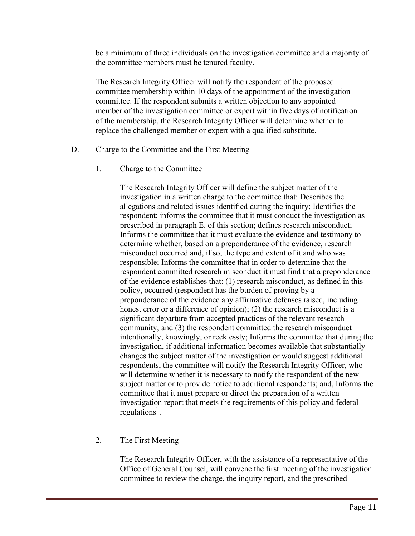be a minimum of three individuals on the investigation committee and a majority of the committee members must be tenured faculty.

The Research Integrity Officer will notify the respondent of the proposed committee membership within 10 days of the appointment of the investigation committee. If the respondent submits a written objection to any appointed member of the investigation committee or expert within five days of notification of the membership, the Research Integrity Officer will determine whether to replace the challenged member or expert with a qualified substitute.

#### D. Charge to the Committee and the First Meeting

1. Charge to the Committee

The Research Integrity Officer will define the subject matter of the investigation in a written charge to the committee that: Describes the allegations and related issues identified during the inquiry; Identifies the respondent; informs the committee that it must conduct the investigation as prescribed in paragraph E. of this section; defines research misconduct; Informs the committee that it must evaluate the evidence and testimony to determine whether, based on a preponderance of the evidence, research misconduct occurred and, if so, the type and extent of it and who was responsible; Informs the committee that in order to determine that the respondent committed research misconduct it must find that a preponderance of the evidence establishes that: (1) research misconduct, as defined in this policy, occurred (respondent has the burden of proving by a preponderance of the evidence any affirmative defenses raised, including honest error or a difference of opinion); (2) the research misconduct is a significant departure from accepted practices of the relevant research community; and (3) the respondent committed the research misconduct intentionally, knowingly, or recklessly; Informs the committee that during the investigation, if additional information becomes available that substantially changes the subject matter of the investigation or would suggest additional respondents, the committee will notify the Research Integrity Officer, who will determine whether it is necessary to notify the respondent of the new subject matter or to provide notice to additional respondents; and, Informs the committee that it must prepare or direct the preparation of a written investigation report that meets the requirements of this policy and federal regulations".

2. The First Meeting

The Research Integrity Officer, with the assistance of a representative of the Office of General Counsel, will convene the first meeting of the investigation committee to review the charge, the inquiry report, and the prescribed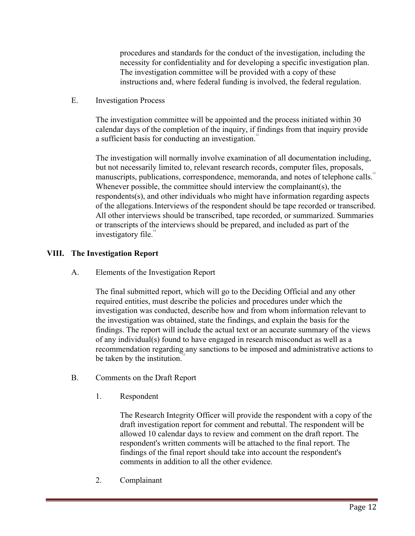procedures and standards for the conduct of the investigation, including the necessity for confidentiality and for developing a specific investigation plan. The investigation committee will be provided with a copy of these instructions and, where federal funding is involved, the federal regulation.

E. Investigation Process

The investigation committee will be appointed and the process initiated within 30 calendar days of the completion of the inquiry, if findings from that inquiry provide a sufficient basis for conducting an investigation.<sup>12</sup>

The investigation will normally involve examination of all documentation including, but not necessarily limited to, relevant research records, computer files, proposals, manuscripts, publications, correspondence, memoranda, and notes of telephone calls. Whenever possible, the committee should interview the complainant(s), the respondents(s), and other individuals who might have information regarding aspects of the allegations.Interviews of the respondent should be tape recorded or transcribed. All other interviews should be transcribed, tape recorded, or summarized. Summaries or transcripts of the interviews should be prepared, and included as part of the investigatory file.<sup>14</sup>

#### **VIII. The Investigation Report**

A. Elements of the Investigation Report

The final submitted report, which will go to the Deciding Official and any other required entities, must describe the policies and procedures under which the investigation was conducted, describe how and from whom information relevant to the investigation was obtained, state the findings, and explain the basis for the findings. The report will include the actual text or an accurate summary of the views of any individual(s) found to have engaged in research misconduct as well as a recommendation regarding any sanctions to be imposed and administrative actions to be taken by the institution.<sup>15</sup>

- B. Comments on the Draft Report
	- 1. Respondent

The Research Integrity Officer will provide the respondent with a copy of the draft investigation report for comment and rebuttal. The respondent will be allowed 10 calendar days to review and comment on the draft report. The respondent's written comments will be attached to the final report. The findings of the final report should take into account the respondent's comments in addition to all the other evidence.

2. Complainant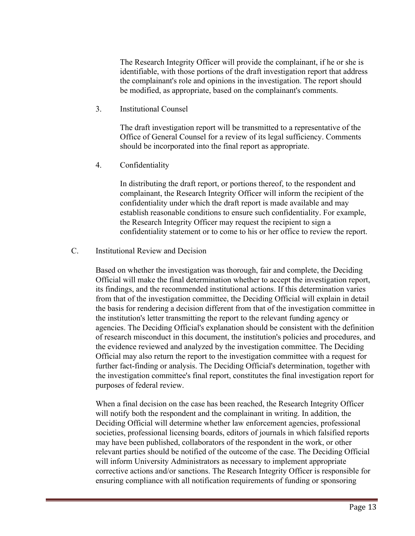The Research Integrity Officer will provide the complainant, if he or she is identifiable, with those portions of the draft investigation report that address the complainant's role and opinions in the investigation. The report should be modified, as appropriate, based on the complainant's comments.

3. Institutional Counsel

The draft investigation report will be transmitted to a representative of the Office of General Counsel for a review of its legal sufficiency. Comments should be incorporated into the final report as appropriate.

4. Confidentiality

In distributing the draft report, or portions thereof, to the respondent and complainant, the Research Integrity Officer will inform the recipient of the confidentiality under which the draft report is made available and may establish reasonable conditions to ensure such confidentiality. For example, the Research Integrity Officer may request the recipient to sign a confidentiality statement or to come to his or her office to review the report.

#### C. Institutional Review and Decision

Based on whether the investigation was thorough, fair and complete, the Deciding Official will make the final determination whether to accept the investigation report, its findings, and the recommended institutional actions. If this determination varies from that of the investigation committee, the Deciding Official will explain in detail the basis for rendering a decision different from that of the investigation committee in the institution's letter transmitting the report to the relevant funding agency or agencies. The Deciding Official's explanation should be consistent with the definition of research misconduct in this document, the institution's policies and procedures, and the evidence reviewed and analyzed by the investigation committee. The Deciding Official may also return the report to the investigation committee with a request for further fact-finding or analysis. The Deciding Official's determination, together with the investigation committee's final report, constitutes the final investigation report for purposes of federal review.

When a final decision on the case has been reached, the Research Integrity Officer will notify both the respondent and the complainant in writing. In addition, the Deciding Official will determine whether law enforcement agencies, professional societies, professional licensing boards, editors of journals in which falsified reports may have been published, collaborators of the respondent in the work, or other relevant parties should be notified of the outcome of the case. The Deciding Official will inform University Administrators as necessary to implement appropriate corrective actions and/or sanctions. The Research Integrity Officer is responsible for ensuring compliance with all notification requirements of funding or sponsoring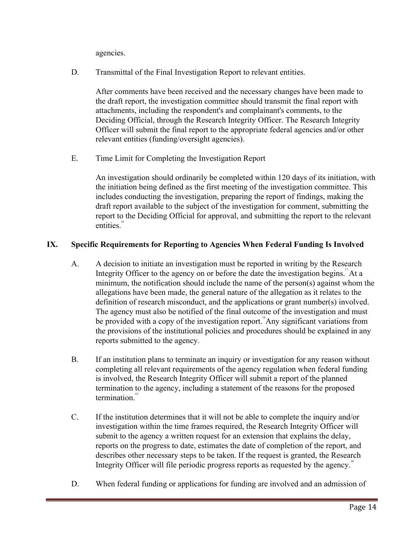agencies.

D. Transmittal of the Final Investigation Report to relevant entities.

After comments have been received and the necessary changes have been made to the draft report, the investigation committee should transmit the final report with attachments, including the respondent's and complainant's comments, to the Deciding Official, through the Research Integrity Officer. The Research Integrity Officer will submit the final report to the appropriate federal agencies and/or other relevant entities (funding/oversight agencies).

E. Time Limit for Completing the Investigation Report

An investigation should ordinarily be completed within 120 days of its initiation, with the initiation being defined as the first meeting of the investigation committee. This includes conducting the investigation, preparing the report of findings, making the draft report available to the subject of the investigation for comment, submitting the report to the Deciding Official for approval, and submitting the report to the relevant entities.<sup>16</sup>

# **IX. Specific Requirements for Reporting to Agencies When Federal Funding Is Involved**

- A. A decision to initiate an investigation must be reported in writing by the Research Integrity Officer to the agency on or before the date the investigation begins.<sup>"</sup>At a minimum, the notification should include the name of the person(s) against whom the allegations have been made, the general nature of the allegation as it relates to the definition of research misconduct, and the applications or grant number(s) involved. The agency must also be notified of the final outcome of the investigation and must be provided with a copy of the investigation report.<sup>8</sup>Any significant variations from the provisions of the institutional policies and procedures should be explained in any reports submitted to the agency.
- B. If an institution plans to terminate an inquiry or investigation for any reason without completing all relevant requirements of the agency regulation when federal funding is involved, the Research Integrity Officer will submit a report of the planned termination to the agency, including a statement of the reasons for the proposed termination<sup>9</sup>
- C. If the institution determines that it will not be able to complete the inquiry and/or investigation within the time frames required, the Research Integrity Officer will submit to the agency a written request for an extension that explains the delay, reports on the progress to date, estimates the date of completion of the report, and describes other necessary steps to be taken. If the request is granted, the Research Integrity Officer will file periodic progress reports as requested by the agency.<sup>20</sup>
- D. When federal funding or applications for funding are involved and an admission of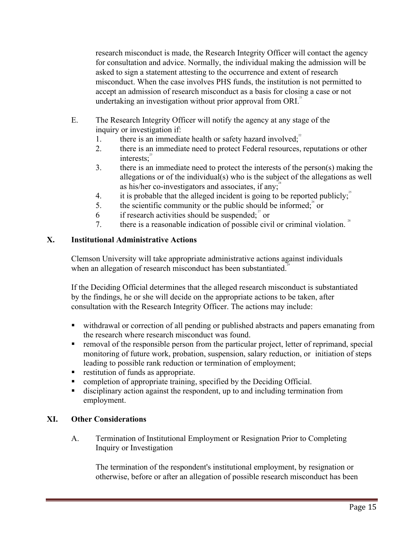research misconduct is made, the Research Integrity Officer will contact the agency for consultation and advice. Normally, the individual making the admission will be asked to sign a statement attesting to the occurrence and extent of research misconduct. When the case involves PHS funds, the institution is not permitted to accept an admission of research misconduct as a basis for closing a case or not undertaking an investigation without prior approval from  $ORI<sub>1</sub><sup>21</sup>$ 

- E. The Research Integrity Officer will notify the agency at any stage of the inquiry or investigation if:
	- 1. there is an immediate health or safety hazard involved; $2<sup>22</sup>$
	- 2. there is an immediate need to protect Federal resources, reputations or other interests;<sup>23</sup>
	- 3. there is an immediate need to protect the interests of the person(s) making the allegations or of the individual(s) who is the subject of the allegations as well as his/her co-investigators and associates, if any; $\alpha$ <sup>24</sup>
	- 4. it is probable that the alleged incident is going to be reported publicly;
	- 5. the scientific community or the public should be informed; $\frac{26}{3}$  or
	- 6 if research activities should be suspended;  $\frac{1}{2}$  or
	- 7. there is a reasonable indication of possible civil or criminal violation.<sup>28</sup>

# **X. Institutional Administrative Actions**

Clemson University will take appropriate administrative actions against individuals when an allegation of research misconduct has been substantiated.<sup>29</sup>

If the Deciding Official determines that the alleged research misconduct is substantiated by the findings, he or she will decide on the appropriate actions to be taken, after consultation with the Research Integrity Officer. The actions may include:

- withdrawal or correction of all pending or published abstracts and papers emanating from the research where research misconduct was found.
- removal of the responsible person from the particular project, letter of reprimand, special monitoring of future work, probation, suspension, salary reduction, or initiation of steps leading to possible rank reduction or termination of employment;
- restitution of funds as appropriate.
- § completion of appropriate training, specified by the Deciding Official.
- disciplinary action against the respondent, up to and including termination from employment.

# **XI. Other Considerations**

A. Termination of Institutional Employment or Resignation Prior to Completing Inquiry or Investigation

The termination of the respondent's institutional employment, by resignation or otherwise, before or after an allegation of possible research misconduct has been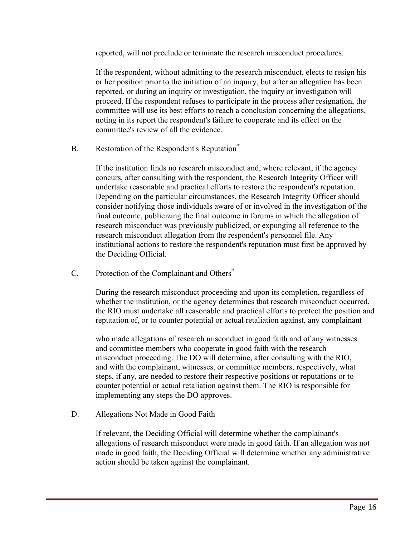reported, will not preclude or terminate the research misconduct procedures.

If the respondent, without admitting to the research misconduct, elects to resign his or her position prior to the initiation of an inquiry, but after an allegation has been reported, or during an inquiry or investigation, the inquiry or investigation will proceed. If the respondent refuses to participate in the process after resignation, the committee will use its best efforts to reach a conclusion concerning the allegations, noting in its report the respondent's failure to cooperate and its effect on the committee's review of all the evidence.

B. Restoration of the Respondent's Reputation<sup>7</sup>

If the institution finds no research misconduct and, where relevant, if the agency concurs, after consulting with the respondent, the Research Integrity Officer will undertake reasonable and practical efforts to restore the respondent's reputation. Depending on the particular circumstances, the Research Integrity Officer should consider notifying those individuals aware of or involved in the investigation of the final outcome, publicizing the final outcome in forums in which the allegation of research misconduct was previously publicized, or expunging all reference to the research misconduct allegation from the respondent's personnel file. Any institutional actions to restore the respondent's reputation must first be approved by the Deciding Official.

C. Protection of the Complainant and Others<sup>31</sup>

During the research misconduct proceeding and upon its completion, regardless of whether the institution, or the agency determines that research misconduct occurred, the RIO must undertake all reasonable and practical efforts to protect the position and reputation of, or to counter potential or actual retaliation against, any complainant

who made allegations of research misconduct in good faith and of any witnesses and committee members who cooperate in good faith with the research misconduct proceeding. The DO will determine, after consulting with the RIO, and with the complainant, witnesses, or committee members, respectively, what steps, if any, are needed to restore their respective positions or reputations or to counter potential or actual retaliation against them. The RIO is responsible for implementing any steps the DO approves.

D. Allegations Not Made in Good Faith

If relevant, the Deciding Official will determine whether the complainant's allegations of research misconduct were made in good faith. If an allegation was not made in good faith, the Deciding Official will determine whether any administrative action should be taken against the complainant.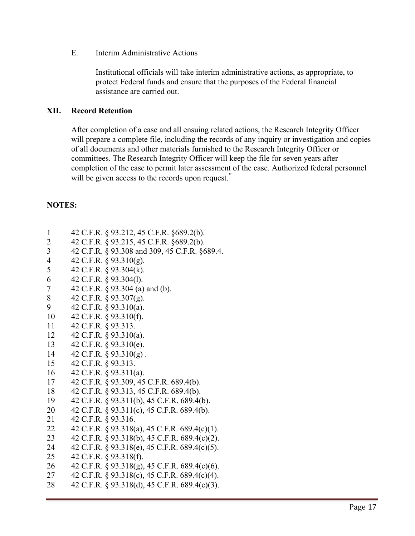E. Interim Administrative Actions

Institutional officials will take interim administrative actions, as appropriate, to protect Federal funds and ensure that the purposes of the Federal financial assistance are carried out.

#### **XII. Record Retention**

After completion of a case and all ensuing related actions, the Research Integrity Officer will prepare a complete file, including the records of any inquiry or investigation and copies of all documents and other materials furnished to the Research Integrity Officer or committees. The Research Integrity Officer will keep the file for seven years after completion of the case to permit later assessment of the case. Authorized federal personnel will be given access to the records upon request.

#### **NOTES:**

| $\mathbf{1}$   | 42 C.F.R. § 93.212, 45 C.F.R. §689.2(b).      |
|----------------|-----------------------------------------------|
| $\overline{c}$ | 42 C.F.R. § 93.215, 45 C.F.R. §689.2(b).      |
| 3              | 42 C.F.R. § 93.308 and 309, 45 C.F.R. §689.4. |
| 4              | 42 C.F.R. $\S$ 93.310(g).                     |
| 5              | 42 C.F.R. § 93.304(k).                        |
| 6              | 42 C.F.R. § 93.304(1).                        |
| 7              | 42 C.F.R. § 93.304 (a) and (b).               |
| 8              | 42 C.F.R. $\S$ 93.307(g).                     |
| 9              | 42 C.F.R. $\S$ 93.310(a).                     |
| 10             | 42 C.F.R. $\S$ 93.310(f).                     |
| 11             | 42 C.F.R. § 93.313.                           |
| 12             | 42 C.F.R. § 93.310(a).                        |
| 13             | 42 C.F.R. $\S$ 93.310(e).                     |
| 14             | 42 C.F.R. $\S$ 93.310(g).                     |
| 15             | 42 C.F.R. § 93.313.                           |
| 16             | 42 C.F.R. $\S$ 93.311(a).                     |
| 17             | 42 C.F.R. § 93.309, 45 C.F.R. 689.4(b).       |
| 18             | 42 C.F.R. § 93.313, 45 C.F.R. 689.4(b).       |
| 19             | 42 C.F.R. § 93.311(b), 45 C.F.R. 689.4(b).    |
| 20             | 42 C.F.R. § 93.311(c), 45 C.F.R. 689.4(b).    |
| 21             | 42 C.F.R. § 93.316.                           |
| 22             | 42 C.F.R. § 93.318(a), 45 C.F.R. 689.4(c)(1). |
| 23             | 42 C.F.R. § 93.318(b), 45 C.F.R. 689.4(c)(2). |
| 24             | 42 C.F.R. § 93.318(e), 45 C.F.R. 689.4(c)(5). |
| 25             | 42 C.F.R. § 93.318(f).                        |
| 26             | 42 C.F.R. § 93.318(g), 45 C.F.R. 689.4(c)(6). |
| 27             | 42 C.F.R. § 93.318(c), 45 C.F.R. 689.4(c)(4). |
| 28             | 42 C.F.R. § 93.318(d), 45 C.F.R. 689.4(c)(3). |